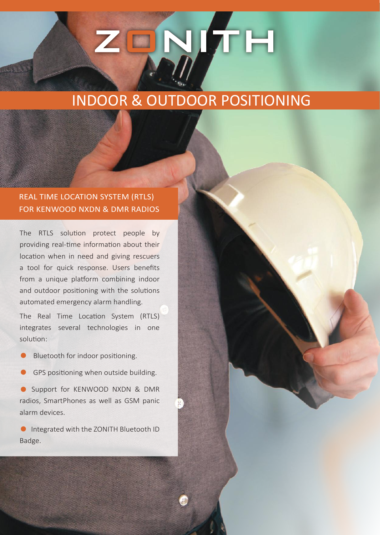# ZQNTH

## INDOOR & OUTDOOR POSITIONING

#### REAL TIME LOCATION SYSTEM (RTLS) FOR KENWOOD NXDN & DMR RADIOS

The RTLS solution protect people by providing real-time information about their location when in need and giving rescuers a tool for quick response. Users benefits from a unique platform combining indoor and outdoor positioning with the solutions automated emergency alarm handling.

The Real Time Location System (RTLS) integrates several technologies in one solution:

- **•** Bluetooth for indoor positioning.
- **GPS positioning when outside building.**

**•** Support for KENWOOD NXDN & DMR radios, SmartPhones as well as GSM panic alarm devices.

**• Integrated with the ZONITH Bluetooth ID** Badge.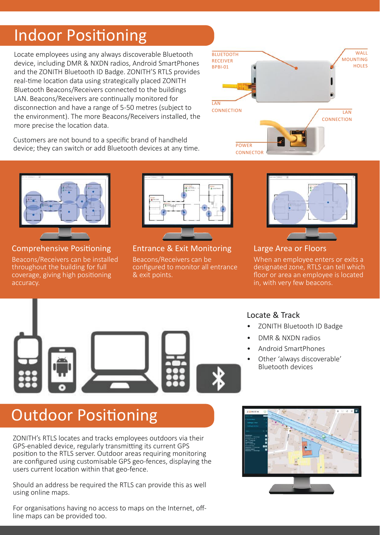# Indoor Positioning

Locate employees using any always discoverable Bluetooth device, including DMR & NXDN radios, Android SmartPhones and the ZONITH Bluetooth ID Badge. ZONITH'S RTLS provides real-time location data using strategically placed ZONITH Bluetooth Beacons/Receivers connected to the buildings LAN. Beacons/Receivers are continually monitored for disconnection and have a range of 5-50 metres (subject to the environment). The more Beacons/Receivers installed, the more precise the location data.

Customers are not bound to a specific brand of handheld device; they can switch or add Bluetooth devices at any time.





#### Comprehensive Positioning

Beacons/Receivers can be installed throughout the building for full coverage, giving high positioning accuracy.



Entrance & Exit Monitoring Beacons/Receivers can be configured to monitor all entrance & exit points.



#### Large Area or Floors

When an employee enters or exits a designated zone, RTLS can tell which floor or area an employee is located in, with very few beacons.



#### Locate & Track

- ZONITH Bluetooth ID Badge
- DMR & NXDN radios
- Android SmartPhones
- Other 'always discoverable' Bluetooth devices

# Outdoor Positioning

ZONITH's RTLS locates and tracks employees outdoors via their GPS-enabled device, regularly transmitting its current GPS position to the RTLS server. Outdoor areas requiring monitoring are configured using customisable GPS geo-fences, displaying the users current location within that geo-fence.

Should an address be required the RTLS can provide this as well using online maps.

For organisations having no access to maps on the Internet, offline maps can be provided too.

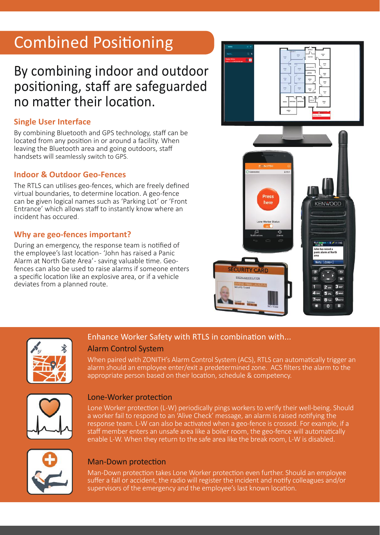# Combined Positioning

## By combining indoor and outdoor positioning, staff are safeguarded no matter their location.

#### **Single User Interface**

By combining Bluetooth and GPS technology, staff can be located from any position in or around a facility. When leaving the Bluetooth area and going outdoors, staff handsets will seamlessly switch to GPS.

#### **Indoor & Outdoor Geo-Fences**

The RTLS can utilises geo-fences, which are freely defined virtual boundaries, to determine location. A geo-fence can be given logical names such as 'Parking Lot' or 'Front Entrance' which allows staff to instantly know where an incident has occured.

#### **Why are geo-fences important?**

During an emergency, the response team is notified of the employee's last location- 'John has raised a Panic Alarm at North Gate Area' - saving valuable time. Geofences can also be used to raise alarms if someone enters a specific location like an explosive area, or if a vehicle deviates from a planned route.





#### Enhance Worker Safety with RTLS in combination with...

#### Alarm Control System

When paired with ZONITH's Alarm Control System (ACS), RTLS can automatically trigger an alarm should an employee enter/exit a predetermined zone. ACS filters the alarm to the appropriate person based on their location, schedule & competency.



#### Lone-Worker protection

Lone Worker protection (L-W) periodically pings workers to verify their well-being. Should a worker fail to respond to an 'Alive Check' message, an alarm is raised notifying the response team. L-W can also be activated when a geo-fence is crossed. For example, if a staff member enters an unsafe area like a boiler room, the geo-fence will automatically enable L-W. When they return to the safe area like the break room, L-W is disabled.



#### Man-Down protection

Man-Down protection takes Lone Worker protection even further. Should an employee suffer a fall or accident, the radio will register the incident and notify colleagues and/or supervisors of the emergency and the employee's last known location.